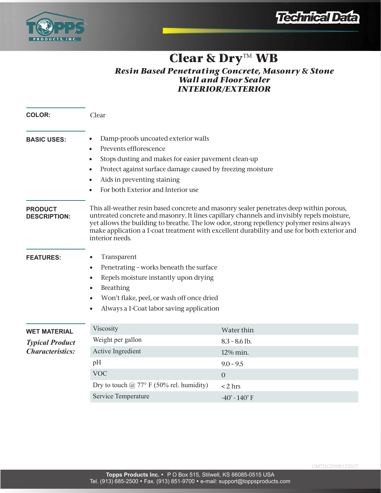



# **Clear & Dry™ WB**

## *Resin Based Penetrating Concrete, Masonry & Stone Wall and Floor Sealer INTERIOR/EXTERIOR*

| <b>COLOR:</b>                                                            | Clear                                                                                                                                                                                                                                                                                                                                                                                                |                                                                                                                            |
|--------------------------------------------------------------------------|------------------------------------------------------------------------------------------------------------------------------------------------------------------------------------------------------------------------------------------------------------------------------------------------------------------------------------------------------------------------------------------------------|----------------------------------------------------------------------------------------------------------------------------|
| <b>BASIC USES:</b>                                                       | Damp-proofs uncoated exterior walls<br>Prevents efflorescence<br>Stops dusting and makes for easier pavement clean-up<br>Protect against surface damage caused by freezing moisture<br>Aids in preventing staining<br>For both Exterior and Interior use                                                                                                                                             |                                                                                                                            |
| <b>PRODUCT</b><br><b>DESCRIPTION:</b>                                    | This all-weather resin based concrete and masonry sealer penetrates deep within porous,<br>untreated concrete and masonry. It lines capillary channels and invisibly repels moisture,<br>yet allows the building to breathe. The low odor, strong repellency polymer resins always<br>make application a 1-coat treatment with excellent durability and use for both exterior and<br>interior needs. |                                                                                                                            |
| <b>FEATURES:</b>                                                         | Transparent<br>Penetrating - works beneath the surface<br>Repels moisture instantly upon drying<br>$\bullet$<br><b>Breathing</b><br>Won't flake, peel, or wash off once dried<br>Always a 1-Coat labor saving application                                                                                                                                                                            |                                                                                                                            |
| <b>WET MATERIAL</b><br><b>Typical Product</b><br><b>Characteristics:</b> | Viscosity<br>Weight per gallon<br>Active Ingredient<br>pH<br><b>VOC</b><br>Dry to touch $@$ 77° F (50% rel. humidity)<br>Service Temperature                                                                                                                                                                                                                                                         | Water thin<br>$8.3 - 8.6$ lb.<br>12% min.<br>$9.0 - 9.5$<br>$\overline{0}$<br>$< 2$ hrs<br>$-40^{\circ}$ - $140^{\circ}$ F |
|                                                                          |                                                                                                                                                                                                                                                                                                                                                                                                      |                                                                                                                            |